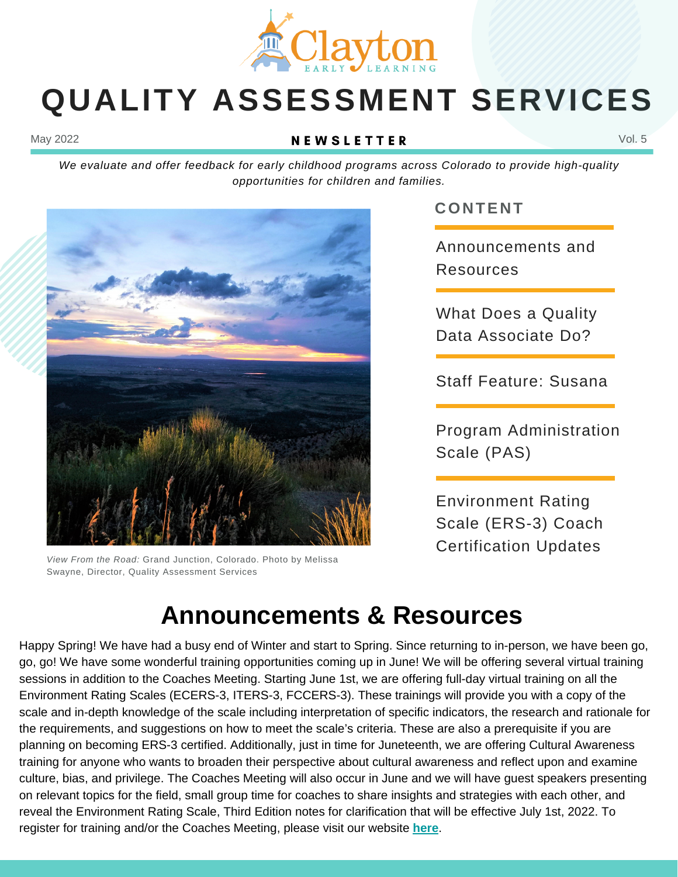

# **QUALITY ASSESSMENT SERVICES**

May 2022  $N \in W S L E T T E R$  Vol. 5

*We evaluate and offer feedback for early childhood programs across Colorado to provide high-quality opportunities for children and families.*



*View From the Road:* Grand Junction, Colorado. Photo by Melissa Swayne, Director, Quality Assessment Services

**CONTENT**

Announcements and Resources

What Does a Quality Data Associate Do?

Staff Feature: Susana

Program Administration Scale (PAS)

Environment Rating Scale (ERS-3) Coach Certification Updates

## **Announcements & Resources**

Happy Spring! We have had a busy end of Winter and start to Spring. Since returning to in-person, we have been go, go, go! We have some wonderful training opportunities coming up in June! We will be offering several virtual training sessions in addition to the Coaches Meeting. Starting June 1st, we are offering full-day virtual training on all the Environment Rating Scales (ECERS-3, ITERS-3, FCCERS-3). These trainings will provide you with a copy of the scale and in-depth knowledge of the scale including interpretation of specific indicators, the research and rationale for the requirements, and suggestions on how to meet the scale's criteria. These are also a prerequisite if you are planning on becoming ERS-3 certified. Additionally, just in time for Juneteenth, we are offering Cultural Awareness training for anyone who wants to broaden their perspective about cultural awareness and reflect upon and examine culture, bias, and privilege. The Coaches Meeting will also occur in June and we will have guest speakers presenting on relevant topics for the field, small group time for coaches to share insights and strategies with each other, and reveal the Environment Rating Scale, Third Edition notes for clarification that will be effective July 1st, 2022. To register for training and/or the Coaches Meeting, please visit our website **[here](https://www.claytonearlylearning.org/training-professional-development/courses-workshops.html)**.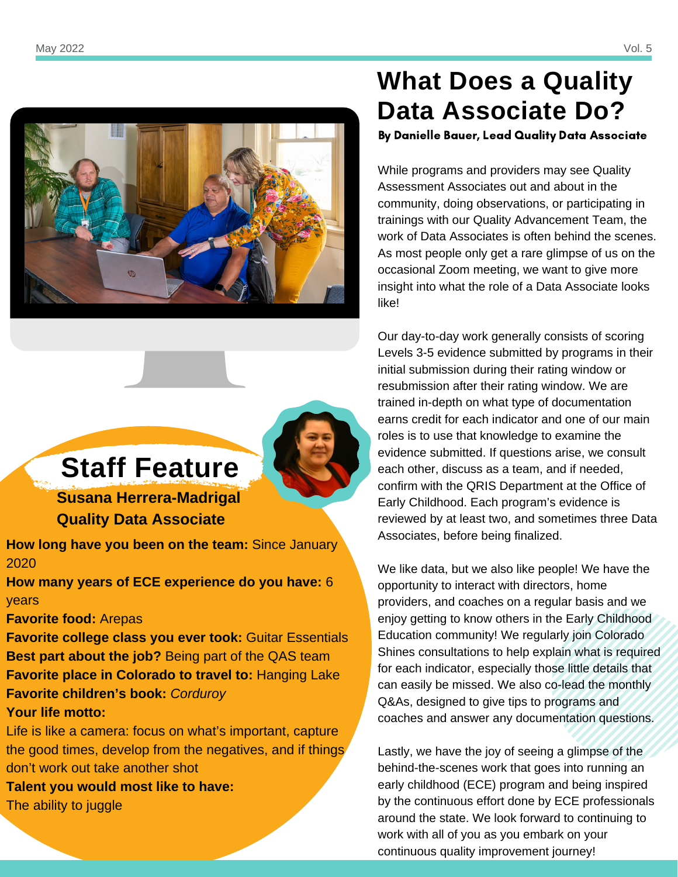

# **Staff Feature**

**Susana Herrera-Madrigal Quality Data Associate**

**How long have you been on the team:** Since January 2020

**How many years of ECE experience do you have:** 6 years

### **Favorite food:** Arepas

**Favorite college class you ever took:** Guitar Essentials **Best part about the job?** Being part of the QAS team **Favorite place in Colorado to travel to:** Hanging Lake **Favorite children's book:** *Corduroy*

### **Your life motto:**

Life is like a camera: focus on what's important, capture the good times, develop from the negatives, and if things don't work out take another shot

**Talent you would most like to have:**

The ability to juggle

# **What Does a Quality Data Associate Do?**

By Danielle Bauer, Lead Quality Data Associate

While programs and providers may see Quality Assessment Associates out and about in the community, doing observations, or participating in trainings with our Quality Advancement Team, the work of Data Associates is often behind the scenes. As most people only get a rare glimpse of us on the occasional Zoom meeting, we want to give more insight into what the role of a Data Associate looks like!

Our day-to-day work generally consists of scoring Levels 3-5 evidence submitted by programs in their initial submission during their rating window or resubmission after their rating window. We are trained in-depth on what type of documentation earns credit for each indicator and one of our main roles is to use that knowledge to examine the evidence submitted. If questions arise, we consult each other, discuss as a team, and if needed, confirm with the QRIS Department at the Office of Early Childhood. Each program's evidence is reviewed by at least two, and sometimes three Data Associates, before being finalized.

We like data, but we also like people! We have the opportunity to interact with directors, home providers, and coaches on a regular basis and we enjoy getting to know others in the Early Childhood Education community! We regularly join Colorado Shines consultations to help explain what is required for each indicator, especially those little details that can easily be missed. We also co-lead the monthly Q&As, designed to give tips to programs and coaches and answer any documentation questions.

Lastly, we have the joy of seeing a glimpse of the behind-the-scenes work that goes into running an early childhood (ECE) program and being inspired by the continuous effort done by ECE professionals around the state. We look forward to continuing to work with all of you as you embark on your continuous quality improvement journey!